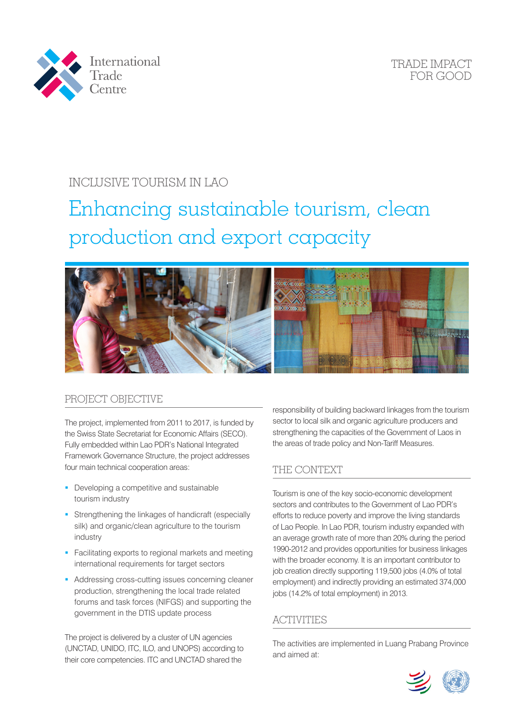

TRADE IMPACT FOR GOOD

## INCLUSIVE TOURISM IN LAO

# Enhancing sustainable tourism, clean production and export capacity



#### PROJECT OBJECTIVE

The project, implemented from 2011 to 2017, is funded by the Swiss State Secretariat for Economic Affairs (SECO). Fully embedded within Lao PDR's National Integrated Framework Governance Structure, the project addresses four main technical cooperation areas:

- Developing a competitive and sustainable tourism industry
- **Strengthening the linkages of handicraft (especially** silk) and organic/clean agriculture to the tourism industry
- **Facilitating exports to regional markets and meeting** international requirements for target sectors
- **Addressing cross-cutting issues concerning cleaner** production, strengthening the local trade related forums and task forces (NIFGS) and supporting the government in the DTIS update process

The project is delivered by a cluster of UN agencies (UNCTAD, UNIDO, ITC, ILO, and UNOPS) according to their core competencies. ITC and UNCTAD shared the

responsibility of building backward linkages from the tourism sector to local silk and organic agriculture producers and strengthening the capacities of the Government of Laos in the areas of trade policy and Non-Tariff Measures.

#### THE CONTEXT

Tourism is one of the key socio-economic development sectors and contributes to the Government of Lao PDR's efforts to reduce poverty and improve the living standards of Lao People. In Lao PDR, tourism industry expanded with an average growth rate of more than 20% during the period 1990-2012 and provides opportunities for business linkages with the broader economy. It is an important contributor to job creation directly supporting 119,500 jobs (4.0% of total employment) and indirectly providing an estimated 374,000 jobs (14.2% of total employment) in 2013.

#### **ACTIVITIES**

The activities are implemented in Luang Prabang Province and aimed at: